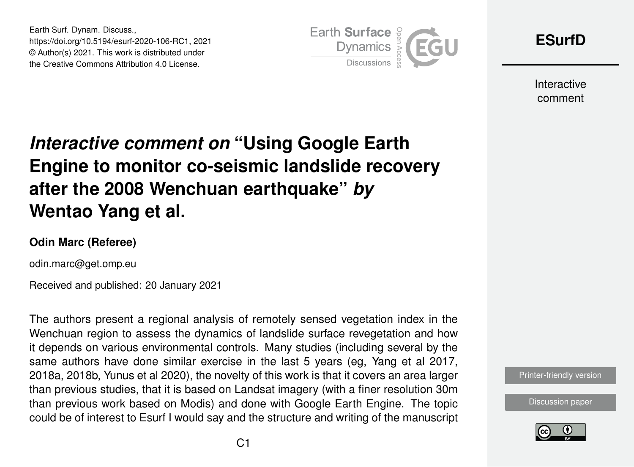Earth Surf. Dynam. Discuss., https://doi.org/10.5194/esurf-2020-106-RC1, 2021 © Author(s) 2021. This work is distributed under the Creative Commons Attribution 4.0 License.



**[ESurfD](https://esurf.copernicus.org/preprints/)**

Interactive comment

# *Interactive comment on* **"Using Google Earth Engine to monitor co-seismic landslide recovery after the 2008 Wenchuan earthquake"** *by* **Wentao Yang et al.**

#### **Odin Marc (Referee)**

odin.marc@get.omp.eu

Received and published: 20 January 2021

The authors present a regional analysis of remotely sensed vegetation index in the Wenchuan region to assess the dynamics of landslide surface revegetation and how it depends on various environmental controls. Many studies (including several by the same authors have done similar exercise in the last 5 years (eg, Yang et al 2017, 2018a, 2018b, Yunus et al 2020), the novelty of this work is that it covers an area larger than previous studies, that it is based on Landsat imagery (with a finer resolution 30m than previous work based on Modis) and done with Google Earth Engine. The topic could be of interest to Esurf I would say and the structure and writing of the manuscript



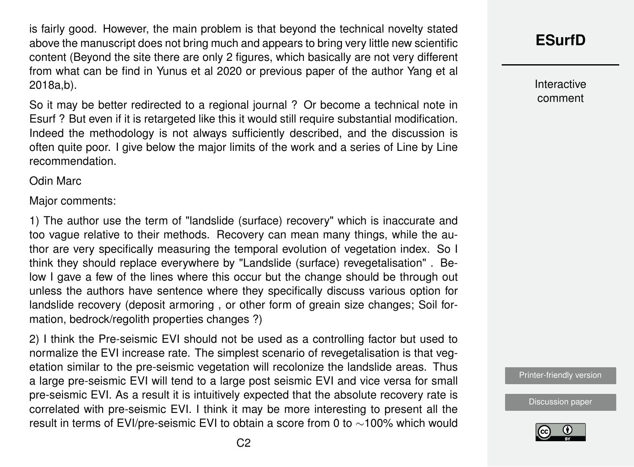is fairly good. However, the main problem is that beyond the technical novelty stated above the manuscript does not bring much and appears to bring very little new scientific content (Beyond the site there are only 2 figures, which basically are not very different from what can be find in Yunus et al 2020 or previous paper of the author Yang et al 2018a,b).

So it may be better redirected to a regional journal ? Or become a technical note in Esurf ? But even if it is retargeted like this it would still require substantial modification. Indeed the methodology is not always sufficiently described, and the discussion is often quite poor. I give below the major limits of the work and a series of Line by Line recommendation.

Odin Marc

Major comments:

1) The author use the term of "landslide (surface) recovery" which is inaccurate and too vague relative to their methods. Recovery can mean many things, while the author are very specifically measuring the temporal evolution of vegetation index. So I think they should replace everywhere by "Landslide (surface) revegetalisation" . Below I gave a few of the lines where this occur but the change should be through out unless the authors have sentence where they specifically discuss various option for landslide recovery (deposit armoring , or other form of greain size changes; Soil formation, bedrock/regolith properties changes ?)

2) I think the Pre-seismic EVI should not be used as a controlling factor but used to normalize the EVI increase rate. The simplest scenario of revegetalisation is that vegetation similar to the pre-seismic vegetation will recolonize the landslide areas. Thus a large pre-seismic EVI will tend to a large post seismic EVI and vice versa for small pre-seismic EVI. As a result it is intuitively expected that the absolute recovery rate is correlated with pre-seismic EVI. I think it may be more interesting to present all the result in terms of EVI/pre-seismic EVI to obtain a score from 0 to ∼100% which would

## **[ESurfD](https://esurf.copernicus.org/preprints/)**

Interactive comment

[Printer-friendly version](https://esurf.copernicus.org/preprints/esurf-2020-106/esurf-2020-106-RC1-print.pdf)

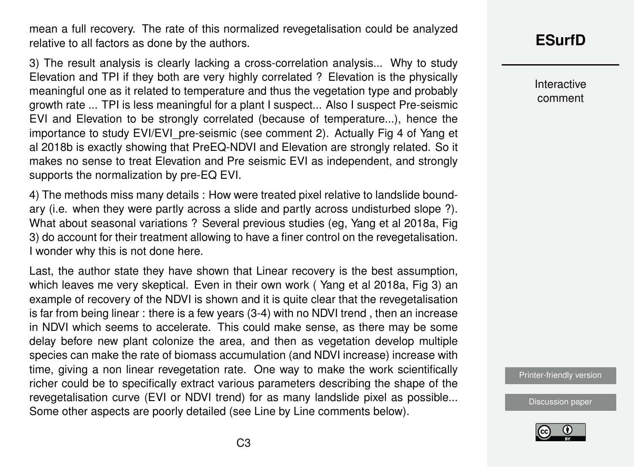mean a full recovery. The rate of this normalized revegetalisation could be analyzed relative to all factors as done by the authors.

3) The result analysis is clearly lacking a cross-correlation analysis... Why to study Elevation and TPI if they both are very highly correlated ? Elevation is the physically meaningful one as it related to temperature and thus the vegetation type and probably growth rate ... TPI is less meaningful for a plant I suspect... Also I suspect Pre-seismic EVI and Elevation to be strongly correlated (because of temperature...), hence the importance to study EVI/EVI pre-seismic (see comment 2). Actually Fig 4 of Yang et al 2018b is exactly showing that PreEQ-NDVI and Elevation are strongly related. So it makes no sense to treat Elevation and Pre seismic EVI as independent, and strongly supports the normalization by pre-EQ EVI.

4) The methods miss many details : How were treated pixel relative to landslide boundary (i.e. when they were partly across a slide and partly across undisturbed slope ?). What about seasonal variations ? Several previous studies (eg, Yang et al 2018a, Fig 3) do account for their treatment allowing to have a finer control on the revegetalisation. I wonder why this is not done here.

Last, the author state they have shown that Linear recovery is the best assumption, which leaves me very skeptical. Even in their own work ( Yang et al 2018a, Fig 3) an example of recovery of the NDVI is shown and it is quite clear that the revegetalisation is far from being linear : there is a few years (3-4) with no NDVI trend , then an increase in NDVI which seems to accelerate. This could make sense, as there may be some delay before new plant colonize the area, and then as vegetation develop multiple species can make the rate of biomass accumulation (and NDVI increase) increase with time, giving a non linear revegetation rate. One way to make the work scientifically richer could be to specifically extract various parameters describing the shape of the revegetalisation curve (EVI or NDVI trend) for as many landslide pixel as possible... Some other aspects are poorly detailed (see Line by Line comments below).

## **[ESurfD](https://esurf.copernicus.org/preprints/)**

Interactive comment

[Printer-friendly version](https://esurf.copernicus.org/preprints/esurf-2020-106/esurf-2020-106-RC1-print.pdf)

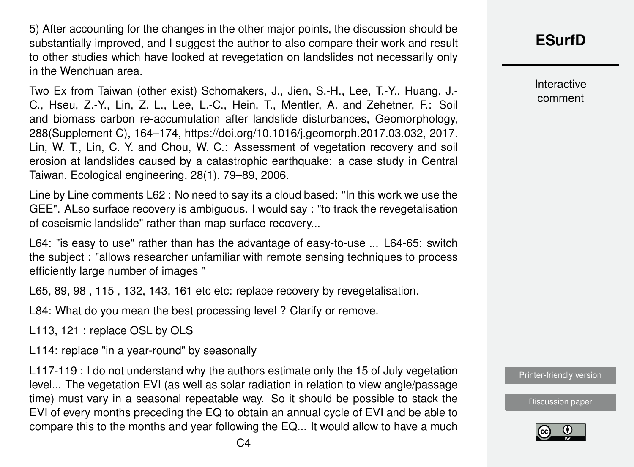5) After accounting for the changes in the other major points, the discussion should be substantially improved, and I suggest the author to also compare their work and result to other studies which have looked at revegetation on landslides not necessarily only in the Wenchuan area.

Two Ex from Taiwan (other exist) Schomakers, J., Jien, S.-H., Lee, T.-Y., Huang, J.- C., Hseu, Z.-Y., Lin, Z. L., Lee, L.-C., Hein, T., Mentler, A. and Zehetner, F.: Soil and biomass carbon re-accumulation after landslide disturbances, Geomorphology, 288(Supplement C), 164–174, https://doi.org/10.1016/j.geomorph.2017.03.032, 2017. Lin, W. T., Lin, C. Y. and Chou, W. C.: Assessment of vegetation recovery and soil erosion at landslides caused by a catastrophic earthquake: a case study in Central Taiwan, Ecological engineering, 28(1), 79–89, 2006.

Line by Line comments L62 : No need to say its a cloud based: "In this work we use the GEE". ALso surface recovery is ambiguous. I would say : "to track the revegetalisation of coseismic landslide" rather than map surface recovery...

L64: "is easy to use" rather than has the advantage of easy-to-use ... L64-65: switch the subject : "allows researcher unfamiliar with remote sensing techniques to process efficiently large number of images "

L65, 89, 98 , 115 , 132, 143, 161 etc etc: replace recovery by revegetalisation.

L84: What do you mean the best processing level ? Clarify or remove.

L113, 121 : replace OSL by OLS

L114: replace "in a year-round" by seasonally

L117-119 : I do not understand why the authors estimate only the 15 of July vegetation level... The vegetation EVI (as well as solar radiation in relation to view angle/passage time) must vary in a seasonal repeatable way. So it should be possible to stack the EVI of every months preceding the EQ to obtain an annual cycle of EVI and be able to compare this to the months and year following the EQ... It would allow to have a much **[ESurfD](https://esurf.copernicus.org/preprints/)**

Interactive comment

[Printer-friendly version](https://esurf.copernicus.org/preprints/esurf-2020-106/esurf-2020-106-RC1-print.pdf)

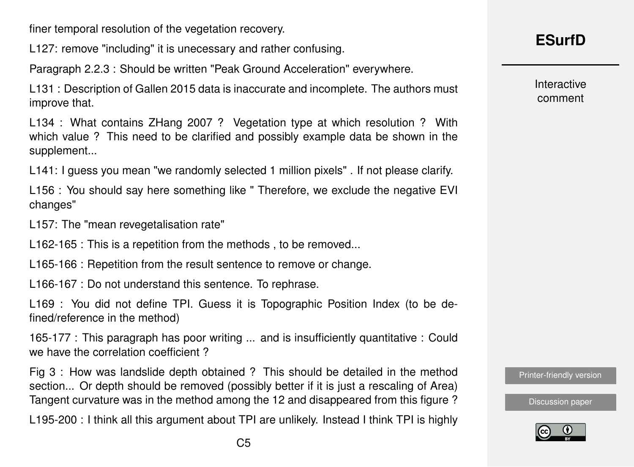finer temporal resolution of the vegetation recovery.

L127: remove "including" it is unecessary and rather confusing.

Paragraph 2.2.3 : Should be written "Peak Ground Acceleration" everywhere.

L131 : Description of Gallen 2015 data is inaccurate and incomplete. The authors must improve that.

L134 : What contains ZHang 2007 ? Vegetation type at which resolution ? With which value ? This need to be clarified and possibly example data be shown in the supplement...

L141: I guess you mean "we randomly selected 1 million pixels" . If not please clarify.

L156 : You should say here something like " Therefore, we exclude the negative EVI changes"

L157: The "mean revegetalisation rate"

L162-165 : This is a repetition from the methods , to be removed...

L165-166 : Repetition from the result sentence to remove or change.

L166-167 : Do not understand this sentence. To rephrase.

L169 : You did not define TPI. Guess it is Topographic Position Index (to be defined/reference in the method)

165-177 : This paragraph has poor writing ... and is insufficiently quantitative : Could we have the correlation coefficient?

Fig 3 : How was landslide depth obtained ? This should be detailed in the method section... Or depth should be removed (possibly better if it is just a rescaling of Area) Tangent curvature was in the method among the 12 and disappeared from this figure ?

L195-200 : I think all this argument about TPI are unlikely. Instead I think TPI is highly

Interactive comment

[Printer-friendly version](https://esurf.copernicus.org/preprints/esurf-2020-106/esurf-2020-106-RC1-print.pdf)